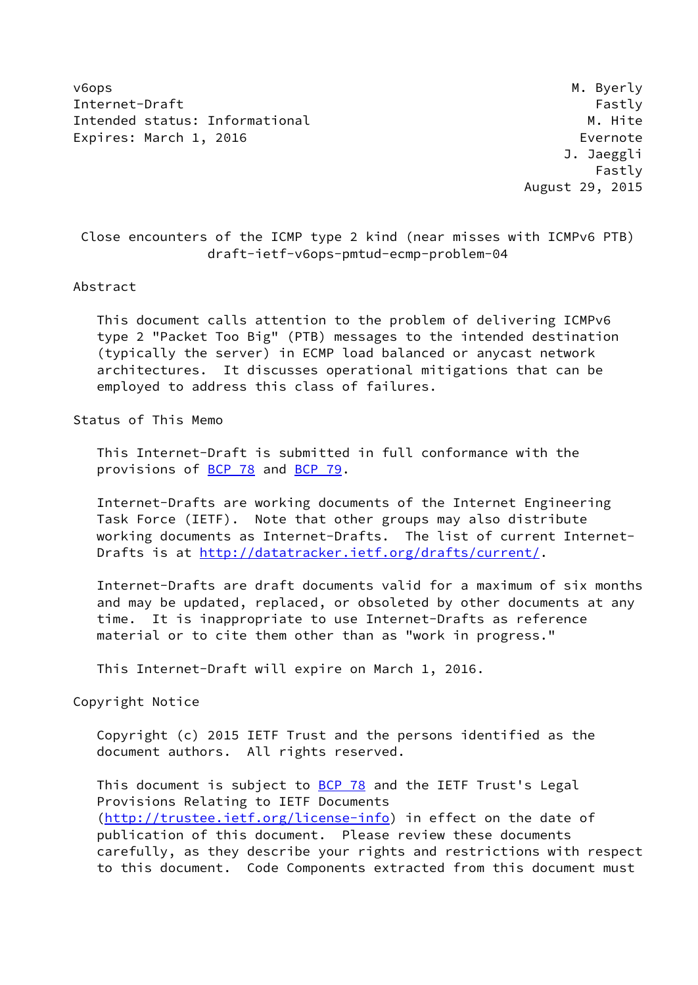v6ops M. Byerly Internet-Draft Fastly Fastly Intended status: Informational M. Hite Expires: March 1, 2016 **Expires:** March 1, 2016

 J. Jaeggli Fastly August 29, 2015

 Close encounters of the ICMP type 2 kind (near misses with ICMPv6 PTB) draft-ietf-v6ops-pmtud-ecmp-problem-04

### Abstract

 This document calls attention to the problem of delivering ICMPv6 type 2 "Packet Too Big" (PTB) messages to the intended destination (typically the server) in ECMP load balanced or anycast network architectures. It discusses operational mitigations that can be employed to address this class of failures.

Status of This Memo

 This Internet-Draft is submitted in full conformance with the provisions of **BCP 78** and **BCP 79**.

 Internet-Drafts are working documents of the Internet Engineering Task Force (IETF). Note that other groups may also distribute working documents as Internet-Drafts. The list of current Internet Drafts is at<http://datatracker.ietf.org/drafts/current/>.

 Internet-Drafts are draft documents valid for a maximum of six months and may be updated, replaced, or obsoleted by other documents at any time. It is inappropriate to use Internet-Drafts as reference material or to cite them other than as "work in progress."

This Internet-Draft will expire on March 1, 2016.

Copyright Notice

 Copyright (c) 2015 IETF Trust and the persons identified as the document authors. All rights reserved.

This document is subject to **[BCP 78](https://datatracker.ietf.org/doc/pdf/bcp78)** and the IETF Trust's Legal Provisions Relating to IETF Documents [\(http://trustee.ietf.org/license-info](http://trustee.ietf.org/license-info)) in effect on the date of publication of this document. Please review these documents carefully, as they describe your rights and restrictions with respect to this document. Code Components extracted from this document must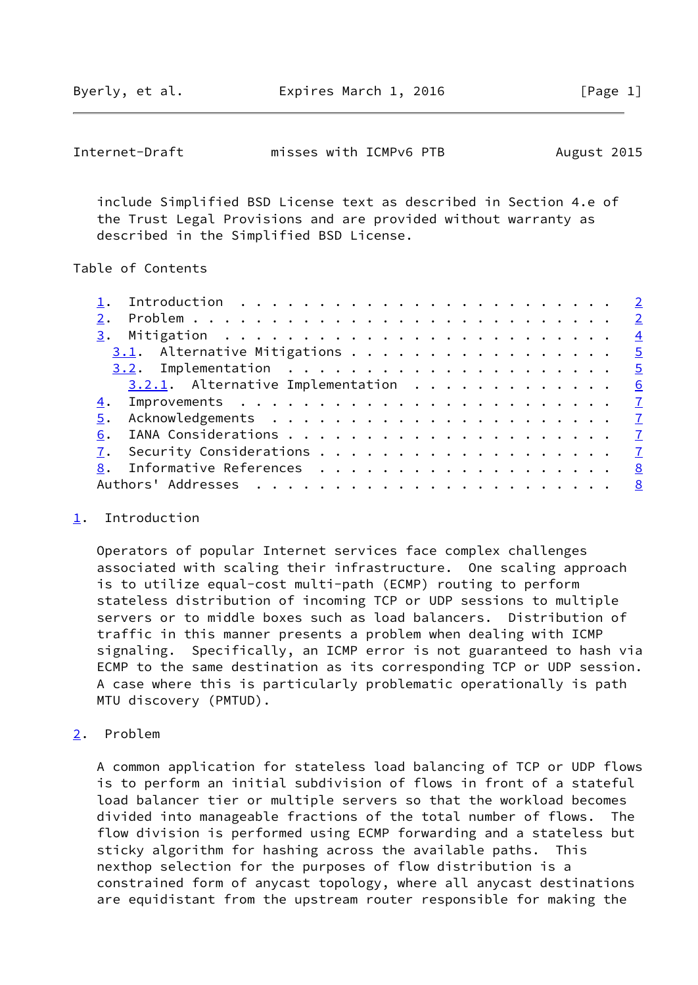Byerly, et al. Expires March 1, 2016 [Page 1]

<span id="page-1-1"></span>

| Internet-Draft | misses with ICMPv6 PTB | August 2015 |
|----------------|------------------------|-------------|
|----------------|------------------------|-------------|

 include Simplified BSD License text as described in Section 4.e of the Trust Legal Provisions and are provided without warranty as described in the Simplified BSD License.

# Table of Contents

| $3.1.$ Alternative Mitigations 5       |   |
|----------------------------------------|---|
|                                        |   |
| $3.2.1$ . Alternative Implementation 6 |   |
|                                        |   |
| 5.                                     |   |
| 6.                                     |   |
|                                        |   |
|                                        | 8 |
|                                        |   |

### <span id="page-1-0"></span>[1](#page-1-0). Introduction

 Operators of popular Internet services face complex challenges associated with scaling their infrastructure. One scaling approach is to utilize equal-cost multi-path (ECMP) routing to perform stateless distribution of incoming TCP or UDP sessions to multiple servers or to middle boxes such as load balancers. Distribution of traffic in this manner presents a problem when dealing with ICMP signaling. Specifically, an ICMP error is not guaranteed to hash via ECMP to the same destination as its corresponding TCP or UDP session. A case where this is particularly problematic operationally is path MTU discovery (PMTUD).

<span id="page-1-2"></span>[2](#page-1-2). Problem

 A common application for stateless load balancing of TCP or UDP flows is to perform an initial subdivision of flows in front of a stateful load balancer tier or multiple servers so that the workload becomes divided into manageable fractions of the total number of flows. The flow division is performed using ECMP forwarding and a stateless but sticky algorithm for hashing across the available paths. This nexthop selection for the purposes of flow distribution is a constrained form of anycast topology, where all anycast destinations are equidistant from the upstream router responsible for making the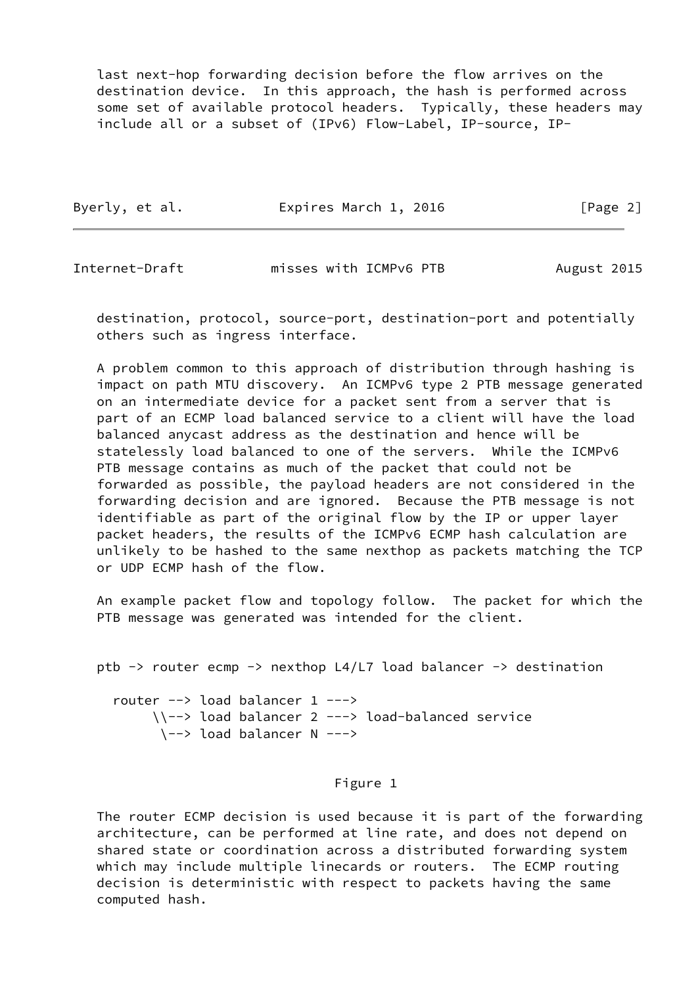last next-hop forwarding decision before the flow arrives on the destination device. In this approach, the hash is performed across some set of available protocol headers. Typically, these headers may include all or a subset of (IPv6) Flow-Label, IP-source, IP-

|  | Byerly, et al. | Expires March 1, 2016 | [Page 2] |
|--|----------------|-----------------------|----------|
|--|----------------|-----------------------|----------|

Internet-Draft misses with ICMPv6 PTB August 2015

 destination, protocol, source-port, destination-port and potentially others such as ingress interface.

 A problem common to this approach of distribution through hashing is impact on path MTU discovery. An ICMPv6 type 2 PTB message generated on an intermediate device for a packet sent from a server that is part of an ECMP load balanced service to a client will have the load balanced anycast address as the destination and hence will be statelessly load balanced to one of the servers. While the ICMPv6 PTB message contains as much of the packet that could not be forwarded as possible, the payload headers are not considered in the forwarding decision and are ignored. Because the PTB message is not identifiable as part of the original flow by the IP or upper layer packet headers, the results of the ICMPv6 ECMP hash calculation are unlikely to be hashed to the same nexthop as packets matching the TCP or UDP ECMP hash of the flow.

 An example packet flow and topology follow. The packet for which the PTB message was generated was intended for the client.

```
 ptb -> router ecmp -> nexthop L4/L7 load balancer -> destination
   router --> load balancer 1 --->
        \\--> load balancer 2 ---> load-balanced service
         \--> load balancer N --->
```
# Figure 1

 The router ECMP decision is used because it is part of the forwarding architecture, can be performed at line rate, and does not depend on shared state or coordination across a distributed forwarding system which may include multiple linecards or routers. The ECMP routing decision is deterministic with respect to packets having the same computed hash.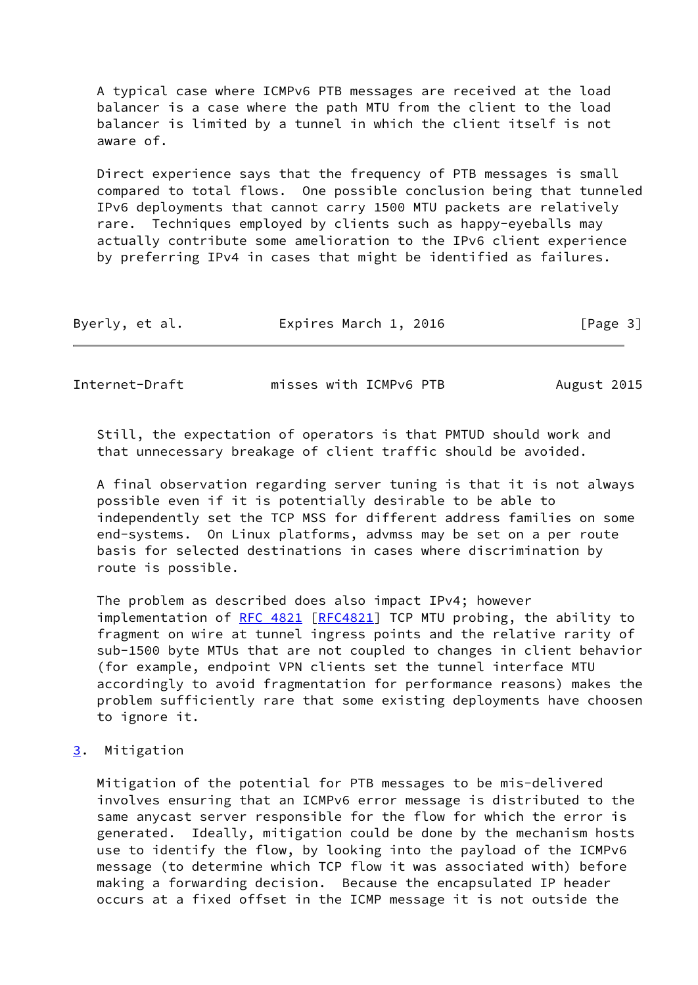A typical case where ICMPv6 PTB messages are received at the load balancer is a case where the path MTU from the client to the load balancer is limited by a tunnel in which the client itself is not aware of.

 Direct experience says that the frequency of PTB messages is small compared to total flows. One possible conclusion being that tunneled IPv6 deployments that cannot carry 1500 MTU packets are relatively rare. Techniques employed by clients such as happy-eyeballs may actually contribute some amelioration to the IPv6 client experience by preferring IPv4 in cases that might be identified as failures.

| Byerly, et al. | Expires March 1, 2016 | [Page 3] |
|----------------|-----------------------|----------|
|----------------|-----------------------|----------|

<span id="page-3-1"></span>Internet-Draft misses with ICMPv6 PTB August 2015

 Still, the expectation of operators is that PMTUD should work and that unnecessary breakage of client traffic should be avoided.

 A final observation regarding server tuning is that it is not always possible even if it is potentially desirable to be able to independently set the TCP MSS for different address families on some end-systems. On Linux platforms, advmss may be set on a per route basis for selected destinations in cases where discrimination by route is possible.

 The problem as described does also impact IPv4; however implementation of [RFC 4821](https://datatracker.ietf.org/doc/pdf/rfc4821) [[RFC4821\]](https://datatracker.ietf.org/doc/pdf/rfc4821) TCP MTU probing, the ability to fragment on wire at tunnel ingress points and the relative rarity of sub-1500 byte MTUs that are not coupled to changes in client behavior (for example, endpoint VPN clients set the tunnel interface MTU accordingly to avoid fragmentation for performance reasons) makes the problem sufficiently rare that some existing deployments have choosen to ignore it.

<span id="page-3-0"></span>[3](#page-3-0). Mitigation

 Mitigation of the potential for PTB messages to be mis-delivered involves ensuring that an ICMPv6 error message is distributed to the same anycast server responsible for the flow for which the error is generated. Ideally, mitigation could be done by the mechanism hosts use to identify the flow, by looking into the payload of the ICMPv6 message (to determine which TCP flow it was associated with) before making a forwarding decision. Because the encapsulated IP header occurs at a fixed offset in the ICMP message it is not outside the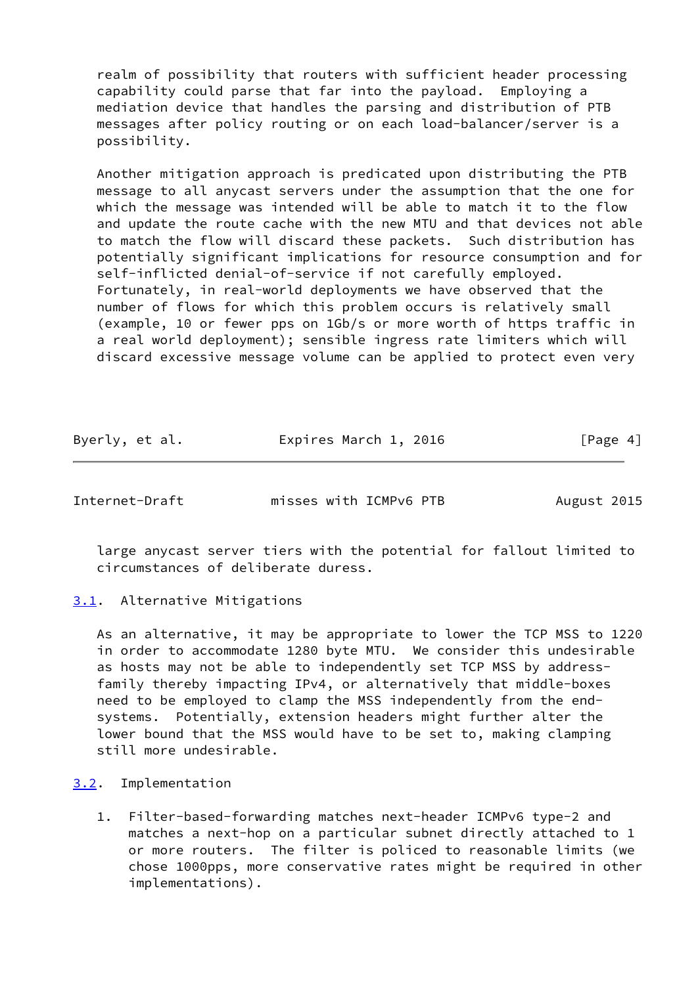realm of possibility that routers with sufficient header processing capability could parse that far into the payload. Employing a mediation device that handles the parsing and distribution of PTB messages after policy routing or on each load-balancer/server is a possibility.

 Another mitigation approach is predicated upon distributing the PTB message to all anycast servers under the assumption that the one for which the message was intended will be able to match it to the flow and update the route cache with the new MTU and that devices not able to match the flow will discard these packets. Such distribution has potentially significant implications for resource consumption and for self-inflicted denial-of-service if not carefully employed. Fortunately, in real-world deployments we have observed that the number of flows for which this problem occurs is relatively small (example, 10 or fewer pps on 1Gb/s or more worth of https traffic in a real world deployment); sensible ingress rate limiters which will discard excessive message volume can be applied to protect even very

| Byerly, et al. | Expires March 1, 2016 | [Page 4] |
|----------------|-----------------------|----------|
|----------------|-----------------------|----------|

<span id="page-4-1"></span>Internet-Draft misses with ICMPv6 PTB August 2015

 large anycast server tiers with the potential for fallout limited to circumstances of deliberate duress.

<span id="page-4-0"></span>[3.1](#page-4-0). Alternative Mitigations

 As an alternative, it may be appropriate to lower the TCP MSS to 1220 in order to accommodate 1280 byte MTU. We consider this undesirable as hosts may not be able to independently set TCP MSS by address family thereby impacting IPv4, or alternatively that middle-boxes need to be employed to clamp the MSS independently from the end systems. Potentially, extension headers might further alter the lower bound that the MSS would have to be set to, making clamping still more undesirable.

<span id="page-4-2"></span>[3.2](#page-4-2). Implementation

 1. Filter-based-forwarding matches next-header ICMPv6 type-2 and matches a next-hop on a particular subnet directly attached to 1 or more routers. The filter is policed to reasonable limits (we chose 1000pps, more conservative rates might be required in other implementations).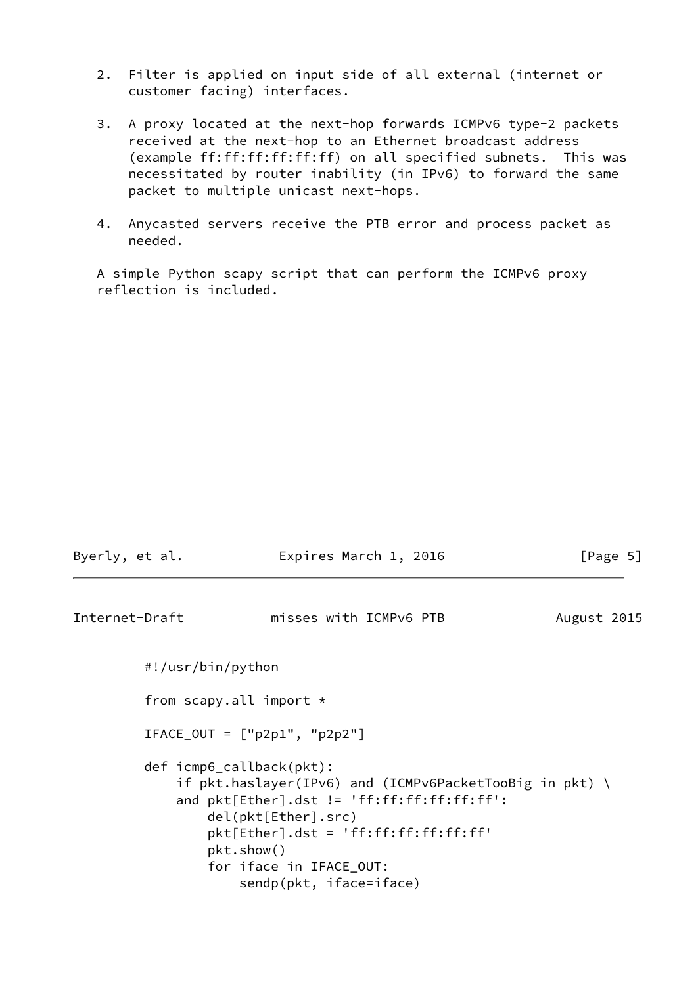- 2. Filter is applied on input side of all external (internet or customer facing) interfaces.
- 3. A proxy located at the next-hop forwards ICMPv6 type-2 packets received at the next-hop to an Ethernet broadcast address (example ff:ff:ff:ff:ff:ff) on all specified subnets. This was necessitated by router inability (in IPv6) to forward the same packet to multiple unicast next-hops.
- 4. Anycasted servers receive the PTB error and process packet as needed.

 A simple Python scapy script that can perform the ICMPv6 proxy reflection is included.

<span id="page-5-0"></span>

| Byerly, et al. | Expires March 1, 2016                                                                                                                                                                                                                                                      |             | [Page 5] |
|----------------|----------------------------------------------------------------------------------------------------------------------------------------------------------------------------------------------------------------------------------------------------------------------------|-------------|----------|
| Internet-Draft | misses with ICMPv6 PTB                                                                                                                                                                                                                                                     | August 2015 |          |
|                | #!/usr/bin/python                                                                                                                                                                                                                                                          |             |          |
|                | from scapy.all import $\star$                                                                                                                                                                                                                                              |             |          |
|                | $IFACE_OUT = ['p2p1", "p2p2"]$                                                                                                                                                                                                                                             |             |          |
|                | def icmp6_callback(pkt):<br>if $pkt.haslayer(IPV6)$ and (ICMPv6PacketTooBig in $pkt$ ) \<br>and $plt[Ether].dst != 'ff:ff:ff:ff;ff':$<br>del(pkt[Ether].src)<br>$plt[Ether].dst = 'ff:ff:ff:ff:ff;ff'$<br>pkt.show()<br>for iface in IFACE_OUT:<br>sendp(pkt, iface=iface) |             |          |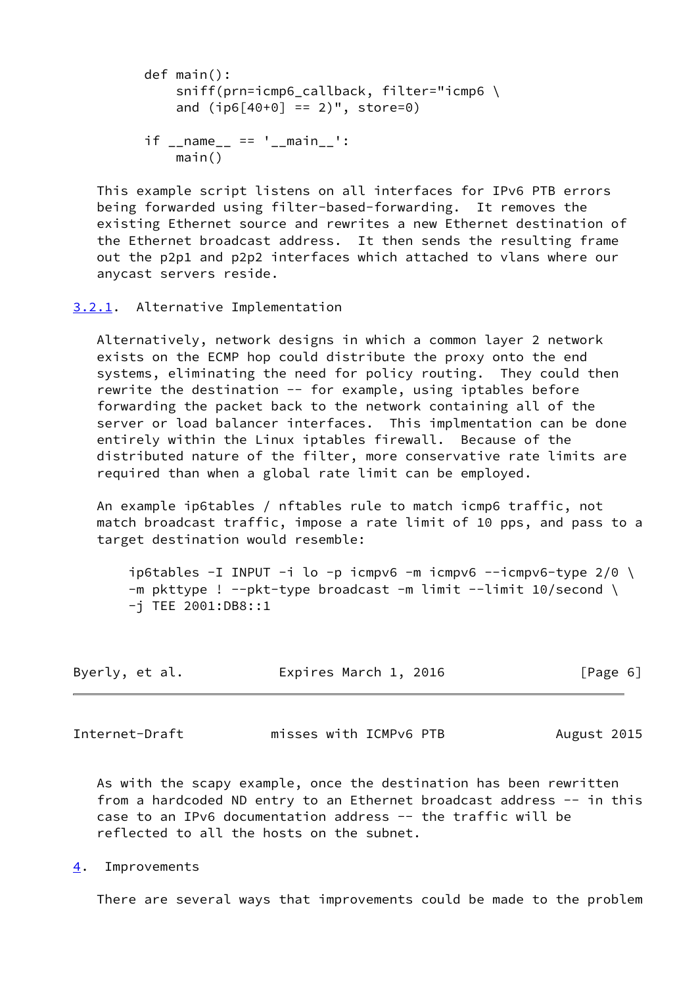```
 def main():
     sniff(prn=icmp6_callback, filter="icmp6 \
    and (i p6[40+0] == 2)", store=0)
if __name__ == ' __main__':
     main()
```
 This example script listens on all interfaces for IPv6 PTB errors being forwarded using filter-based-forwarding. It removes the existing Ethernet source and rewrites a new Ethernet destination of the Ethernet broadcast address. It then sends the resulting frame out the p2p1 and p2p2 interfaces which attached to vlans where our anycast servers reside.

# <span id="page-6-0"></span>[3.2.1](#page-6-0). Alternative Implementation

 Alternatively, network designs in which a common layer 2 network exists on the ECMP hop could distribute the proxy onto the end systems, eliminating the need for policy routing. They could then rewrite the destination -- for example, using iptables before forwarding the packet back to the network containing all of the server or load balancer interfaces. This implmentation can be done entirely within the Linux iptables firewall. Because of the distributed nature of the filter, more conservative rate limits are required than when a global rate limit can be employed.

 An example ip6tables / nftables rule to match icmp6 traffic, not match broadcast traffic, impose a rate limit of 10 pps, and pass to a target destination would resemble:

ip6tables -I INPUT -i lo -p icmpv6 -m icmpv6 --icmpv6-type  $2/0$  \  $-m$  pkttype ! --pkt-type broadcast -m limit --limit 10/second \ -j TEE 2001:DB8::1

| Expires March 1, 2016<br>Byerly, et al. | [Page 6] |
|-----------------------------------------|----------|
|-----------------------------------------|----------|

<span id="page-6-2"></span>Internet-Draft misses with ICMPv6 PTB August 2015

 As with the scapy example, once the destination has been rewritten from a hardcoded ND entry to an Ethernet broadcast address -- in this case to an IPv6 documentation address -- the traffic will be reflected to all the hosts on the subnet.

<span id="page-6-1"></span>[4](#page-6-1). Improvements

There are several ways that improvements could be made to the problem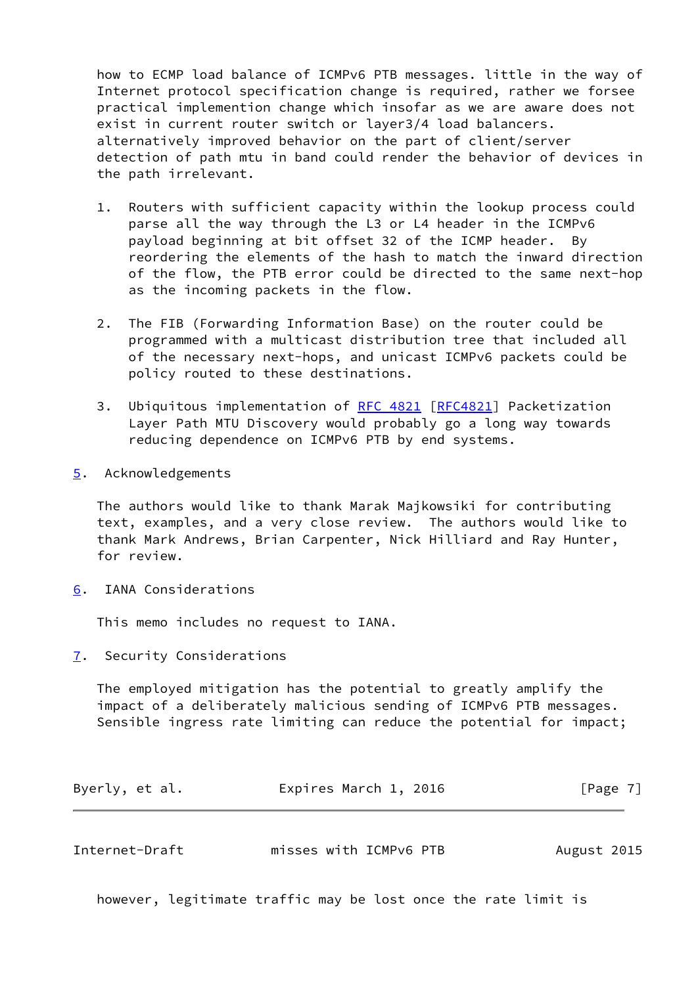how to ECMP load balance of ICMPv6 PTB messages. little in the way of Internet protocol specification change is required, rather we forsee practical implemention change which insofar as we are aware does not exist in current router switch or layer3/4 load balancers. alternatively improved behavior on the part of client/server detection of path mtu in band could render the behavior of devices in the path irrelevant.

- 1. Routers with sufficient capacity within the lookup process could parse all the way through the L3 or L4 header in the ICMPv6 payload beginning at bit offset 32 of the ICMP header. By reordering the elements of the hash to match the inward direction of the flow, the PTB error could be directed to the same next-hop as the incoming packets in the flow.
- 2. The FIB (Forwarding Information Base) on the router could be programmed with a multicast distribution tree that included all of the necessary next-hops, and unicast ICMPv6 packets could be policy routed to these destinations.
- 3. Ubiquitous implementation of [RFC 4821](https://datatracker.ietf.org/doc/pdf/rfc4821) [[RFC4821](https://datatracker.ietf.org/doc/pdf/rfc4821)] Packetization Layer Path MTU Discovery would probably go a long way towards reducing dependence on ICMPv6 PTB by end systems.
- <span id="page-7-0"></span>[5](#page-7-0). Acknowledgements

 The authors would like to thank Marak Majkowsiki for contributing text, examples, and a very close review. The authors would like to thank Mark Andrews, Brian Carpenter, Nick Hilliard and Ray Hunter, for review.

<span id="page-7-1"></span>[6](#page-7-1). IANA Considerations

This memo includes no request to IANA.

<span id="page-7-2"></span>[7](#page-7-2). Security Considerations

 The employed mitigation has the potential to greatly amplify the impact of a deliberately malicious sending of ICMPv6 PTB messages. Sensible ingress rate limiting can reduce the potential for impact;

| Byerly, et al. | Expires March 1, 2016 | [Page 7] |
|----------------|-----------------------|----------|
|----------------|-----------------------|----------|

<span id="page-7-3"></span>

| Internet-Draft | misses with ICMPv6 PTB | August 2015 |
|----------------|------------------------|-------------|
|                |                        |             |

however, legitimate traffic may be lost once the rate limit is